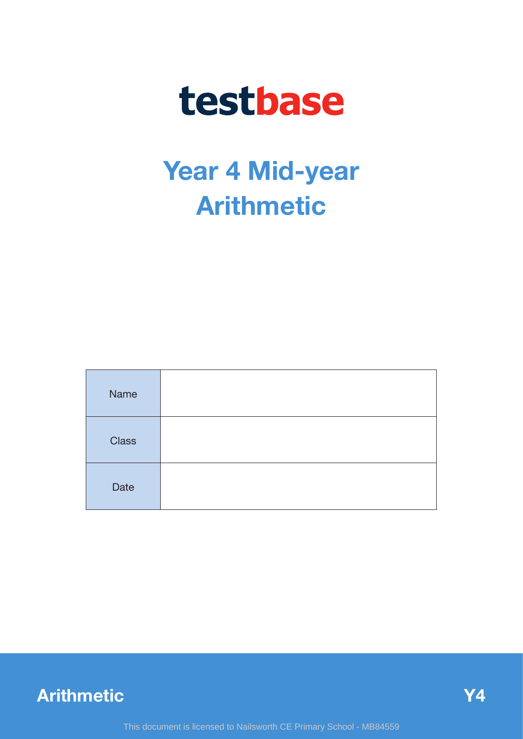# testbase

## **Year 4 Mid-year Arithmetic**

| Name         |  |
|--------------|--|
| <b>Class</b> |  |
| Date         |  |

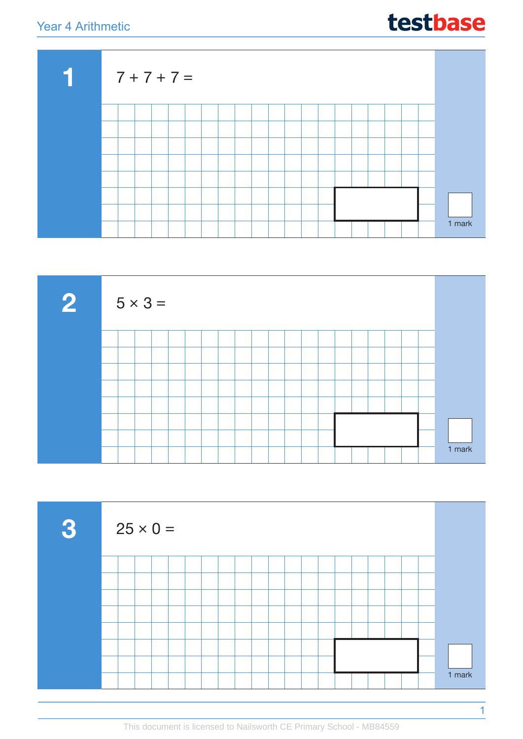## testbase





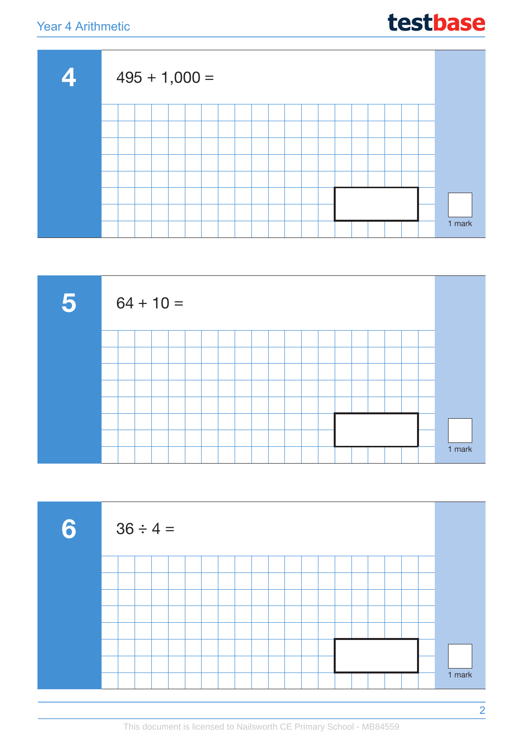



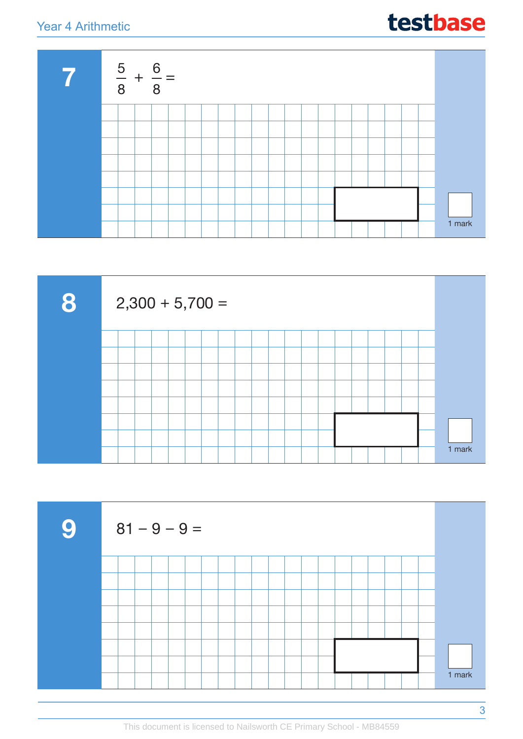





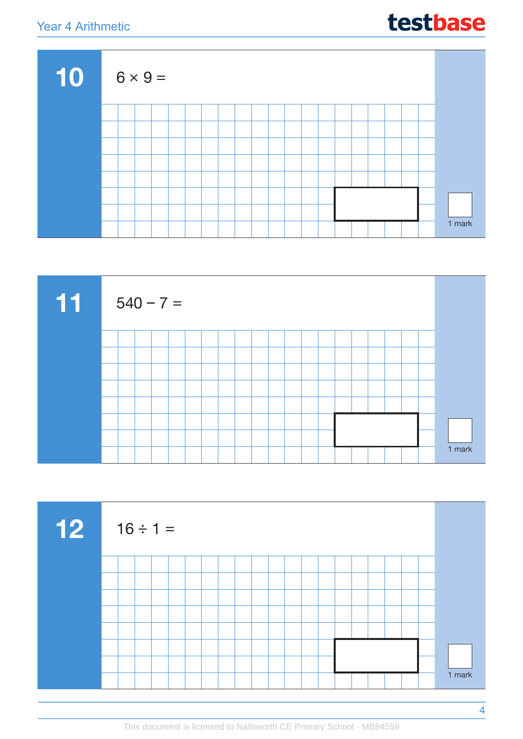#### Year 4 A

**10**

| rithmetic |  |                |  |  |  |  |  |  |  |  | testbase |  |
|-----------|--|----------------|--|--|--|--|--|--|--|--|----------|--|
|           |  | $6 \times 9 =$ |  |  |  |  |  |  |  |  |          |  |
|           |  |                |  |  |  |  |  |  |  |  |          |  |
|           |  |                |  |  |  |  |  |  |  |  |          |  |
|           |  |                |  |  |  |  |  |  |  |  |          |  |
|           |  |                |  |  |  |  |  |  |  |  |          |  |





1 mark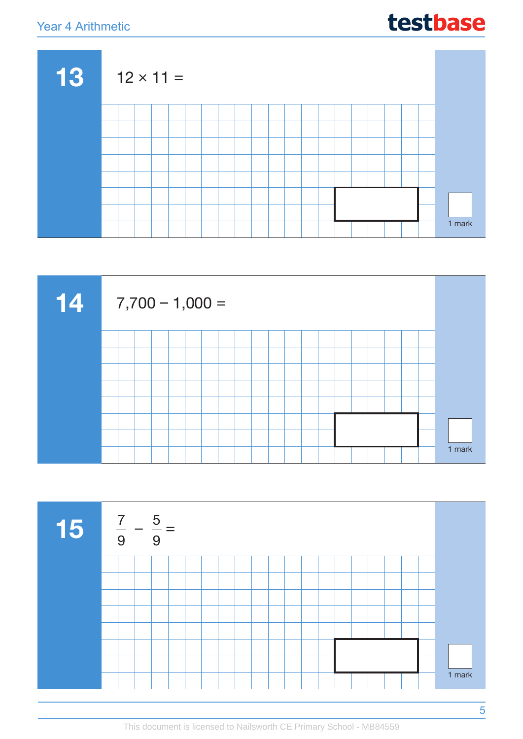| testbase |
|----------|
|----------|





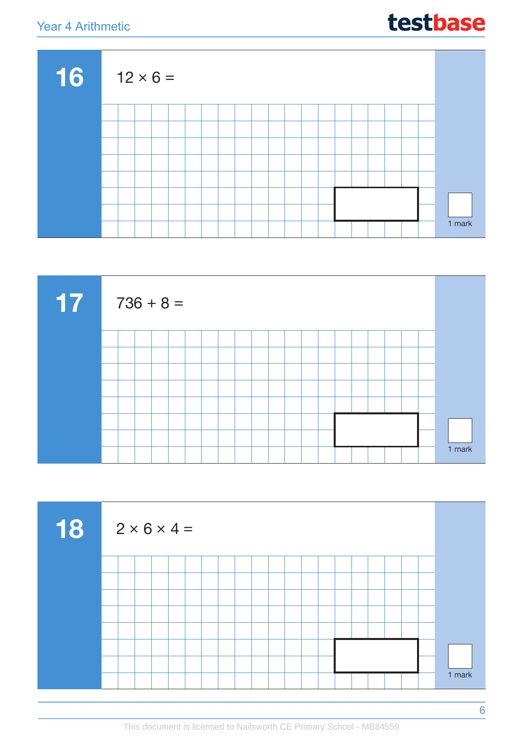| testbase |
|----------|
|----------|

| 16 | $12 \times 6 =$ |  |  |  |  |  |  |  |  |  |        |
|----|-----------------|--|--|--|--|--|--|--|--|--|--------|
|    |                 |  |  |  |  |  |  |  |  |  |        |
|    |                 |  |  |  |  |  |  |  |  |  |        |
|    |                 |  |  |  |  |  |  |  |  |  |        |
|    |                 |  |  |  |  |  |  |  |  |  |        |
|    |                 |  |  |  |  |  |  |  |  |  |        |
|    |                 |  |  |  |  |  |  |  |  |  |        |
|    |                 |  |  |  |  |  |  |  |  |  |        |
|    |                 |  |  |  |  |  |  |  |  |  | 1 mark |



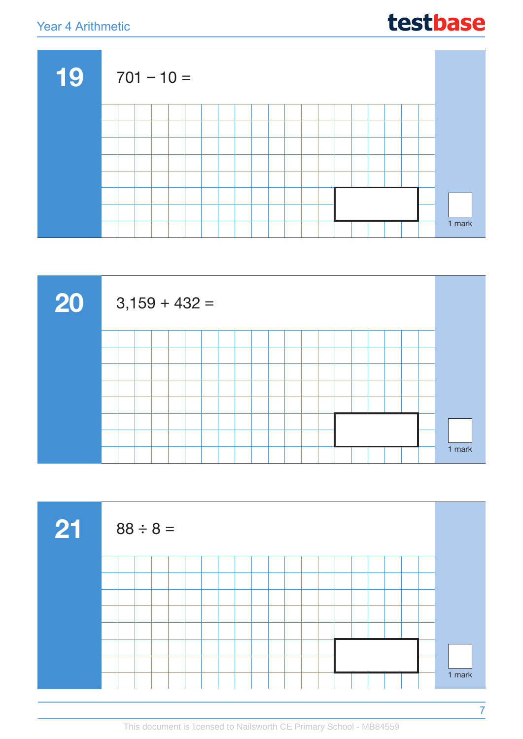



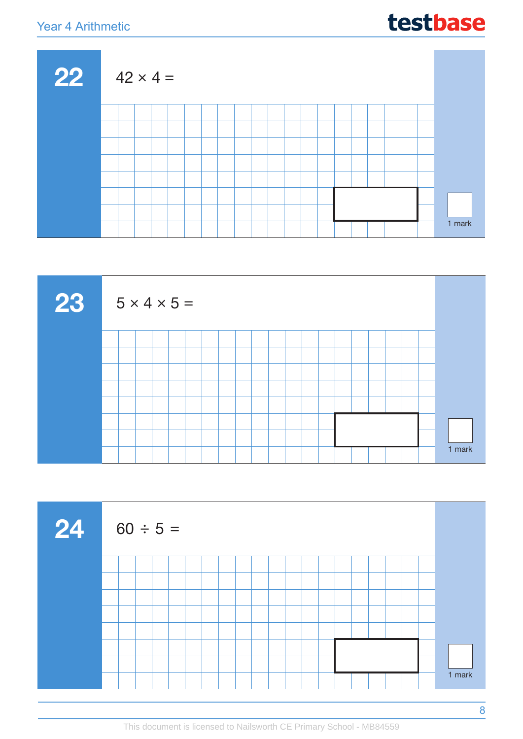| 22 | $42 \times 4 =$ |  |  |  |  |  |  |  |  |  |        |
|----|-----------------|--|--|--|--|--|--|--|--|--|--------|
|    |                 |  |  |  |  |  |  |  |  |  |        |
|    |                 |  |  |  |  |  |  |  |  |  |        |
|    |                 |  |  |  |  |  |  |  |  |  |        |
|    |                 |  |  |  |  |  |  |  |  |  |        |
|    |                 |  |  |  |  |  |  |  |  |  |        |
|    |                 |  |  |  |  |  |  |  |  |  |        |
|    |                 |  |  |  |  |  |  |  |  |  |        |
|    |                 |  |  |  |  |  |  |  |  |  | 1 mark |





This document is licensed to Nailsworth CE Primary School - MB84559

testbase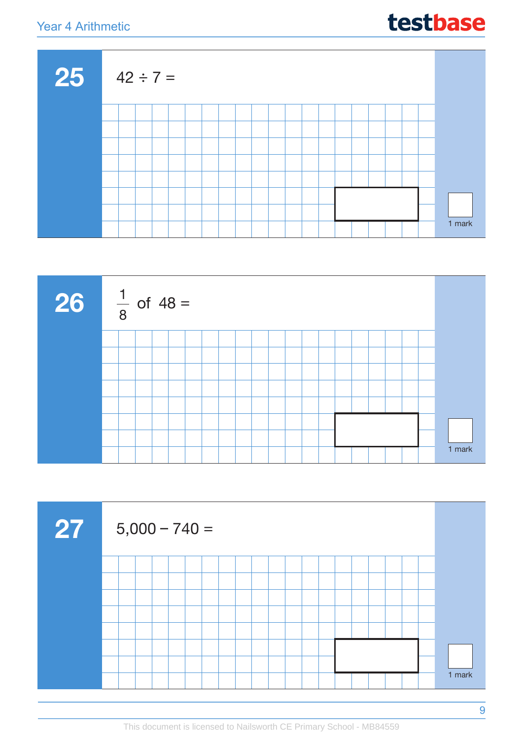





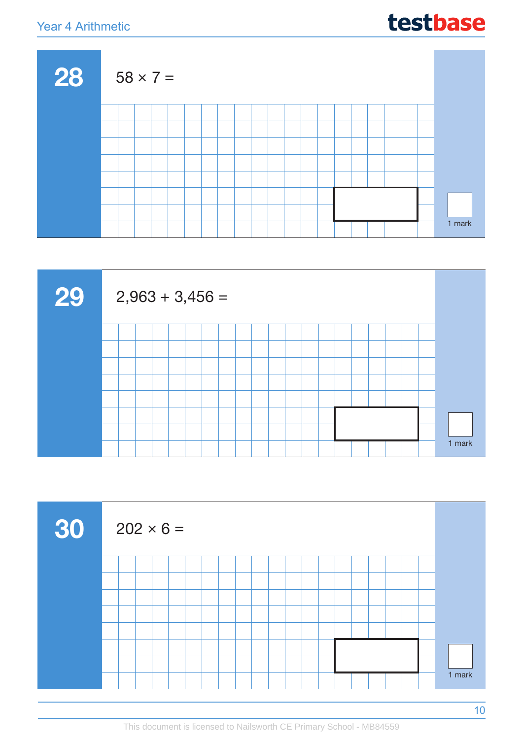| testbase |
|----------|
|----------|





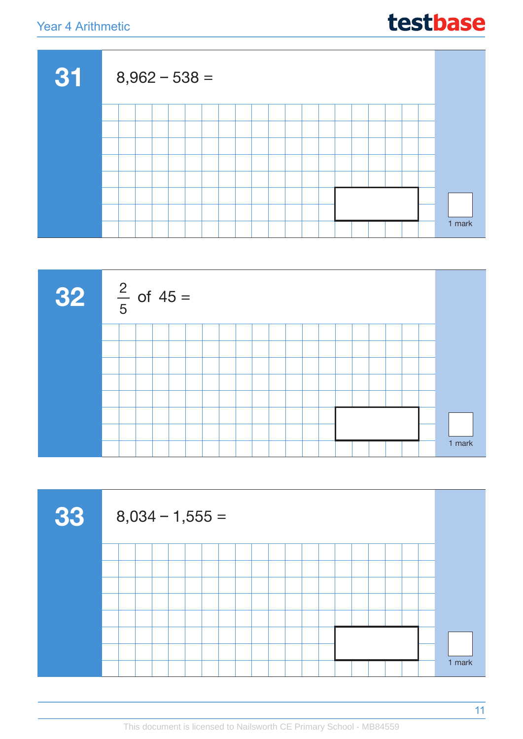